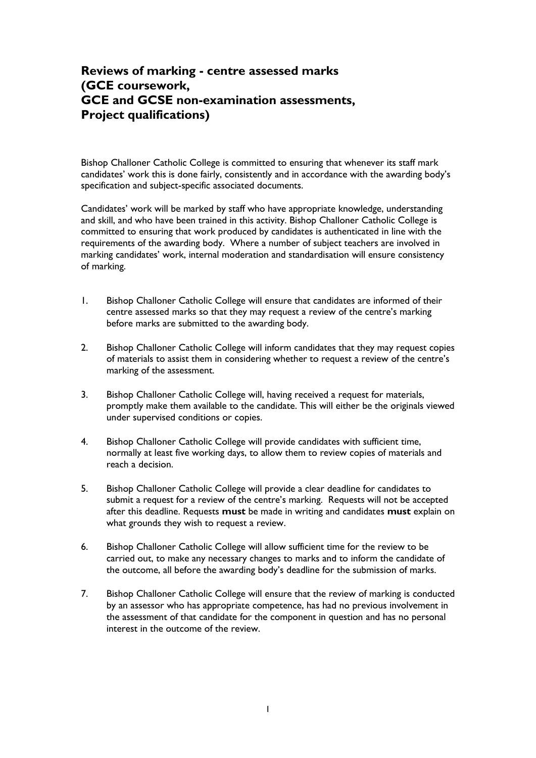## **Reviews of marking - centre assessed marks (GCE coursework, GCE and GCSE non-examination assessments, Project qualifications)**

Bishop Challoner Catholic College is committed to ensuring that whenever its staff mark candidates' work this is done fairly, consistently and in accordance with the awarding body's specification and subject-specific associated documents.

Candidates' work will be marked by staff who have appropriate knowledge, understanding and skill, and who have been trained in this activity. Bishop Challoner Catholic College is committed to ensuring that work produced by candidates is authenticated in line with the requirements of the awarding body. Where a number of subject teachers are involved in marking candidates' work, internal moderation and standardisation will ensure consistency of marking.

- 1. Bishop Challoner Catholic College will ensure that candidates are informed of their centre assessed marks so that they may request a review of the centre's marking before marks are submitted to the awarding body.
- 2. Bishop Challoner Catholic College will inform candidates that they may request copies of materials to assist them in considering whether to request a review of the centre's marking of the assessment.
- 3. Bishop Challoner Catholic College will, having received a request for materials, promptly make them available to the candidate. This will either be the originals viewed under supervised conditions or copies.
- 4. Bishop Challoner Catholic College will provide candidates with sufficient time, normally at least five working days, to allow them to review copies of materials and reach a decision.
- 5. Bishop Challoner Catholic College will provide a clear deadline for candidates to submit a request for a review of the centre's marking. Requests will not be accepted after this deadline. Requests **must** be made in writing and candidates **must** explain on what grounds they wish to request a review.
- 6. Bishop Challoner Catholic College will allow sufficient time for the review to be carried out, to make any necessary changes to marks and to inform the candidate of the outcome, all before the awarding body's deadline for the submission of marks.
- 7. Bishop Challoner Catholic College will ensure that the review of marking is conducted by an assessor who has appropriate competence, has had no previous involvement in the assessment of that candidate for the component in question and has no personal interest in the outcome of the review.